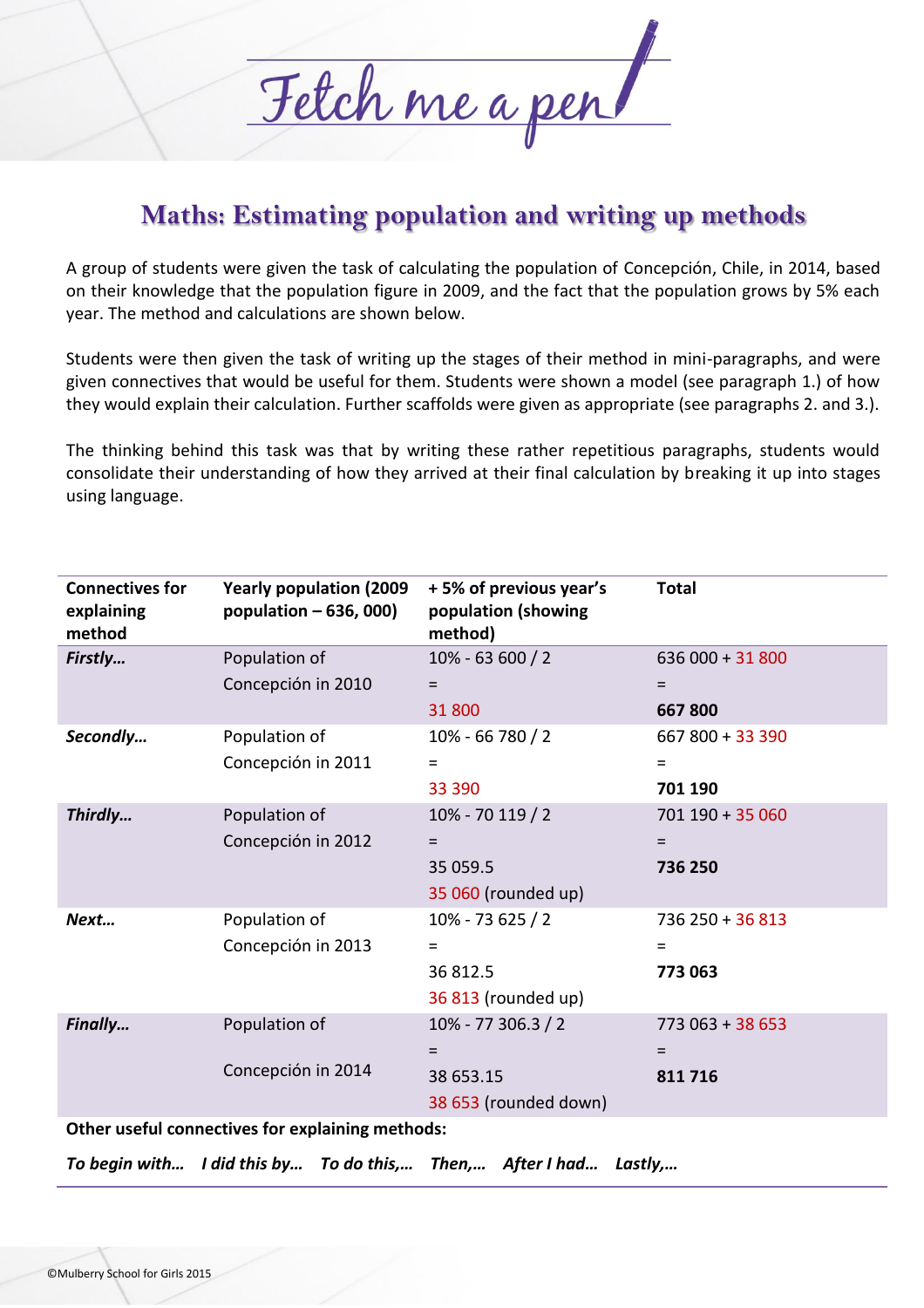

## **Maths: Estimating population and writing up methods**

A group of students were given the task of calculating the population of Concepción, Chile, in 2014, based on their knowledge that the population figure in 2009, and the fact that the population grows by 5% each year. The method and calculations are shown below.

Students were then given the task of writing up the stages of their method in mini-paragraphs, and were given connectives that would be useful for them. Students were shown a model (see paragraph 1.) of how they would explain their calculation. Further scaffolds were given as appropriate (see paragraphs 2. and 3.).

The thinking behind this task was that by writing these rather repetitious paragraphs, students would consolidate their understanding of how they arrived at their final calculation by breaking it up into stages using language.

| <b>Connectives for</b><br>explaining<br>method   | <b>Yearly population (2009)</b><br>population $-636,000$ | +5% of previous year's<br>population (showing<br>method) | <b>Total</b>            |
|--------------------------------------------------|----------------------------------------------------------|----------------------------------------------------------|-------------------------|
| Firstly                                          | Population of<br>Concepción in 2010                      | 10% - 63 600 / 2<br>$=$                                  | $636000 + 31800$<br>$=$ |
|                                                  |                                                          | 31 800                                                   | 667800                  |
| Secondly                                         | Population of                                            | 10% - 66 780 / 2                                         | 667 800 + 33 390        |
|                                                  | Concepción in 2011                                       | $\equiv$                                                 | $=$                     |
|                                                  |                                                          | 33 390                                                   | 701 190                 |
| Thirdly                                          | Population of                                            | 10% - 70 119 / 2                                         | $701$ 190 + 35 060      |
|                                                  | Concepción in 2012                                       | $=$                                                      | $=$                     |
|                                                  |                                                          | 35 059.5                                                 | 736 250                 |
|                                                  |                                                          | 35 060 (rounded up)                                      |                         |
| Next                                             | Population of                                            | 10% - 73 625 / 2                                         | $736250 + 36813$        |
|                                                  | Concepción in 2013                                       | $=$                                                      | $=$                     |
|                                                  |                                                          | 36 812.5                                                 | 773063                  |
|                                                  |                                                          | 36 813 (rounded up)                                      |                         |
| Finally                                          | Population of                                            | 10% - 77 306.3 / 2                                       | $773063 + 38653$        |
|                                                  |                                                          | $=$                                                      | $=$                     |
|                                                  | Concepción in 2014                                       | 38 653.15                                                | 811716                  |
|                                                  |                                                          | 38 653 (rounded down)                                    |                         |
| Other useful connectives for explaining methods: |                                                          |                                                          |                         |

*To begin with… I did this by… To do this,… Then,… After I had… Lastly,…*